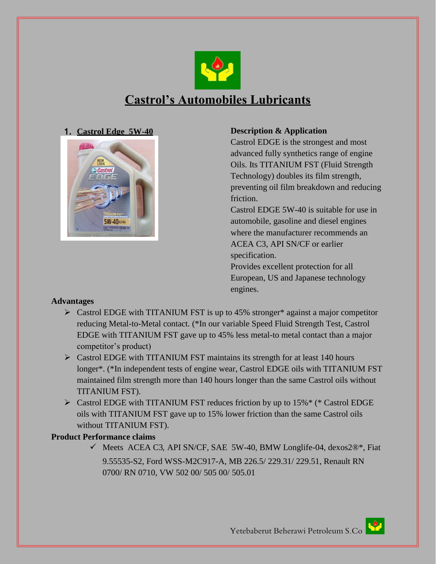

# **Castrol's Automobiles Lubricants**





## 1. **Castrol Edge 5W-40 Description & Application**

Castrol EDGE is the strongest and most advanced fully synthetics range of engine Oils. Its TITANIUM FST (Fluid Strength Technology) doubles its film strength, preventing oil film breakdown and reducing friction.

Castrol EDGE 5W-40 is suitable for use in automobile, gasoline and diesel engines where the manufacturer recommends an ACEA C3, API SN/CF or earlier specification.

Provides excellent protection for all European, US and Japanese technology engines.

## **Advantages**

- $\triangleright$  Castrol EDGE with TITANIUM FST is up to 45% stronger\* against a major competitor reducing Metal-to-Metal contact. (\*In our variable Speed Fluid Strength Test, Castrol EDGE with TITANIUM FST gave up to 45% less metal-to metal contact than a major competitor's product)
- $\triangleright$  Castrol EDGE with TITANIUM FST maintains its strength for at least 140 hours longer\*. (\*In independent tests of engine wear, Castrol EDGE oils with TITANIUM FST maintained film strength more than 140 hours longer than the same Castrol oils without TITANIUM FST).
- Castrol EDGE with TITANIUM FST reduces friction by up to 15%\* (\* Castrol EDGE oils with TITANIUM FST gave up to 15% lower friction than the same Castrol oils without TITANIUM FST).

## **Product Performance claims**

 $\checkmark$  Meets ACEA C3, API SN/CF, SAE 5W-40, BMW Longlife-04, dexos2®\*, Fiat 9.55535-S2, Ford WSS-M2C917-A, MB 226.5/ 229.31/ 229.51, Renault RN 0700/ RN 0710, VW 502 00/ 505 00/ 505.01

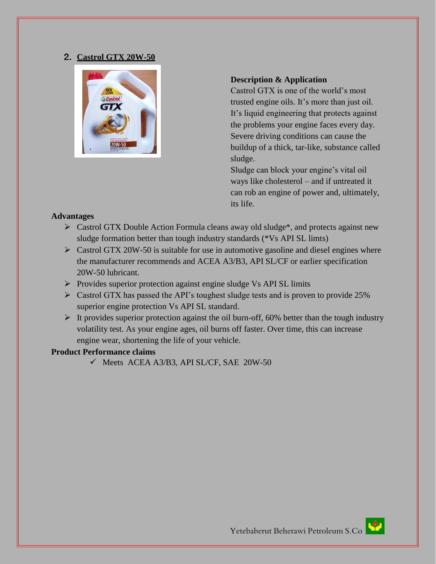#### 2. **Castrol GTX 20W-50**



#### **Description & Application**

Castrol GTX is one of the world's most trusted engine oils. It's more than just oil. It's liquid engineering that protects against the problems your engine faces every day. Severe driving conditions can cause the buildup of a thick, tar-like, substance called sludge.

Sludge can block your engine's vital oil ways like cholesterol – and if untreated it can rob an engine of power and, ultimately, its life.

#### **Advantages**

- $\triangleright$  Castrol GTX Double Action Formula cleans away old sludge<sup>\*</sup>, and protects against new sludge formation better than tough industry standards (\*Vs API SL limts)
- $\triangleright$  Castrol GTX 20W-50 is suitable for use in automotive gasoline and diesel engines where the manufacturer recommends and ACEA A3/B3, API SL/CF or earlier specification 20W-50 lubricant.
- $\triangleright$  Provides superior protection against engine sludge Vs API SL limits
- Castrol GTX has passed the API's toughest sludge tests and is proven to provide 25% superior engine protection Vs API SL standard.
- $\triangleright$  It provides superior protection against the oil burn-off, 60% better than the tough industry volatility test. As your engine ages, oil burns off faster. Over time, this can increase engine wear, shortening the life of your vehicle.

#### **Product Performance claims**

 $\checkmark$  Meets ACEA A3/B3, API SL/CF, SAE 20W-50

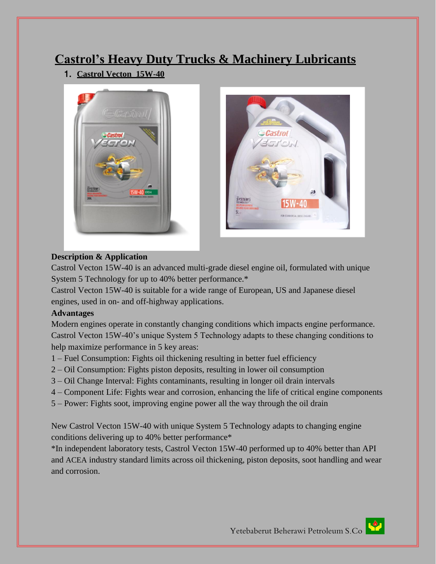# **Castrol's Heavy Duty Trucks & Machinery Lubricants**

1. **Castrol Vecton 15W-40**





## **Description & Application**

Castrol Vecton 15W-40 is an advanced multi-grade diesel engine oil, formulated with unique System 5 Technology for up to 40% better performance.\*

Castrol Vecton 15W-40 is suitable for a wide range of European, US and Japanese diesel engines, used in on- and off-highway applications.

# **Advantages**

Modern engines operate in constantly changing conditions which impacts engine performance. Castrol Vecton 15W-40's unique System 5 Technology adapts to these changing conditions to help maximize performance in 5 key areas:

- 1 Fuel Consumption: Fights oil thickening resulting in better fuel efficiency
- 2 Oil Consumption: Fights piston deposits, resulting in lower oil consumption
- 3 Oil Change Interval: Fights contaminants, resulting in longer oil drain intervals
- 4 Component Life: Fights wear and corrosion, enhancing the life of critical engine components
- 5 Power: Fights soot, improving engine power all the way through the oil drain

New Castrol Vecton 15W-40 with unique System 5 Technology adapts to changing engine conditions delivering up to 40% better performance\*

\*In independent laboratory tests, Castrol Vecton 15W-40 performed up to 40% better than API and ACEA industry standard limits across oil thickening, piston deposits, soot handling and wear and corrosion.

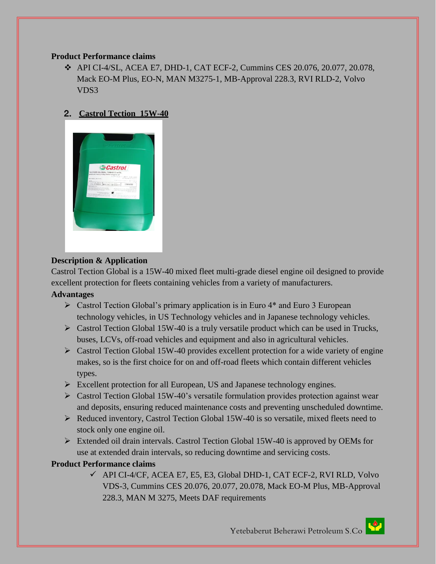#### **Product Performance claims**

 $\div$  API CI-4/SL, ACEA E7, DHD-1, CAT ECF-2, Cummins CES 20.076, 20.077, 20.078, Mack EO-M Plus, EO-N, MAN M3275-1, MB-Approval 228.3, RVI RLD-2, Volvo VDS3

# 2. **Castrol Tection 15W-40**



## **Description & Application**

Castrol Tection Global is a 15W-40 mixed fleet multi-grade diesel engine oil designed to provide excellent protection for fleets containing vehicles from a variety of manufacturers.

## **Advantages**

- $\triangleright$  Castrol Tection Global's primary application is in Euro 4<sup>\*</sup> and Euro 3 European technology vehicles, in US Technology vehicles and in Japanese technology vehicles.
- $\triangleright$  Castrol Tection Global 15W-40 is a truly versatile product which can be used in Trucks, buses, LCVs, off-road vehicles and equipment and also in agricultural vehicles.
- $\triangleright$  Castrol Tection Global 15W-40 provides excellent protection for a wide variety of engine makes, so is the first choice for on and off-road fleets which contain different vehicles types.
- $\triangleright$  Excellent protection for all European, US and Japanese technology engines.
- $\triangleright$  Castrol Tection Global 15W-40's versatile formulation provides protection against wear and deposits, ensuring reduced maintenance costs and preventing unscheduled downtime.
- $\triangleright$  Reduced inventory, Castrol Tection Global 15W-40 is so versatile, mixed fleets need to stock only one engine oil.
- Extended oil drain intervals. Castrol Tection Global 15W-40 is approved by OEMs for use at extended drain intervals, so reducing downtime and servicing costs.

## **Product Performance claims**

 $\checkmark$  API CI-4/CF, ACEA E7, E5, E3, Global DHD-1, CAT ECF-2, RVI RLD, Volvo VDS-3, Cummins CES 20.076, 20.077, 20.078, Mack EO-M Plus, MB-Approval 228.3, MAN M 3275, Meets DAF requirements

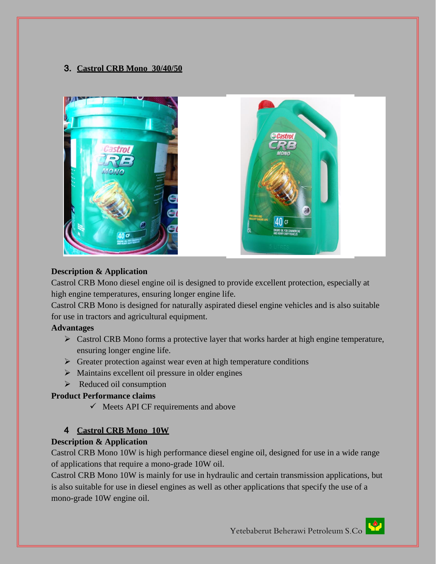# 3. **Castrol CRB Mono 30/40/50**



## **Description & Application**

Castrol CRB Mono diesel engine oil is designed to provide excellent protection, especially at high engine temperatures, ensuring longer engine life.

Castrol CRB Mono is designed for naturally aspirated diesel engine vehicles and is also suitable for use in tractors and agricultural equipment.

#### **Advantages**

- $\triangleright$  Castrol CRB Mono forms a protective layer that works harder at high engine temperature, ensuring longer engine life.
- $\triangleright$  Greater protection against wear even at high temperature conditions
- $\triangleright$  Maintains excellent oil pressure in older engines
- $\triangleright$  Reduced oil consumption

## **Product Performance claims**

 $\checkmark$  Meets API CF requirements and above

## 4 **Castrol CRB Mono 10W**

## **Description & Application**

Castrol CRB Mono 10W is high performance diesel engine oil, designed for use in a wide range of applications that require a mono-grade 10W oil.

Castrol CRB Mono 10W is mainly for use in hydraulic and certain transmission applications, but is also suitable for use in diesel engines as well as other applications that specify the use of a mono-grade 10W engine oil.

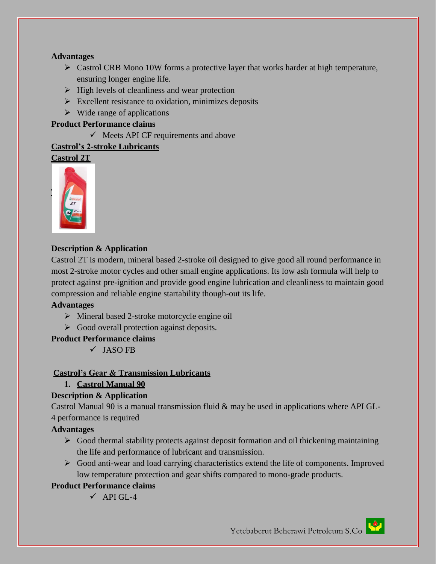## **Advantages**

- $\triangleright$  Castrol CRB Mono 10W forms a protective layer that works harder at high temperature, ensuring longer engine life.
- $\triangleright$  High levels of cleanliness and wear protection
- $\triangleright$  Excellent resistance to oxidation, minimizes deposits
- $\triangleright$  Wide range of applications

#### **Product Performance claims**

 $\checkmark$  Meets API CF requirements and above

#### **Castrol's 2-stroke Lubricants**

**Castrol 2T** 



## **Description & Application**

Castrol 2T is modern, mineral based 2-stroke oil designed to give good all round performance in most 2-stroke motor cycles and other small engine applications. Its low ash formula will help to protect against pre-ignition and provide good engine lubrication and cleanliness to maintain good compression and reliable engine startability though-out its life.

#### **Advantages**

- $\triangleright$  Mineral based 2-stroke motorcycle engine oil
- $\triangleright$  Good overall protection against deposits.

## **Product Performance claims**

 $\checkmark$  JASO FB

## **Castrol's Gear & Transmission Lubricants**

**1. Castrol Manual 90**

## **Description & Application**

Castrol Manual 90 is a manual transmission fluid & may be used in applications where API GL-4 performance is required

## **Advantages**

- $\triangleright$  Good thermal stability protects against deposit formation and oil thickening maintaining the life and performance of lubricant and transmission.
- $\triangleright$  Good anti-wear and load carrying characteristics extend the life of components. Improved low temperature protection and gear shifts compared to mono-grade products.

## **Product Performance claims**

 $\checkmark$  API GL-4

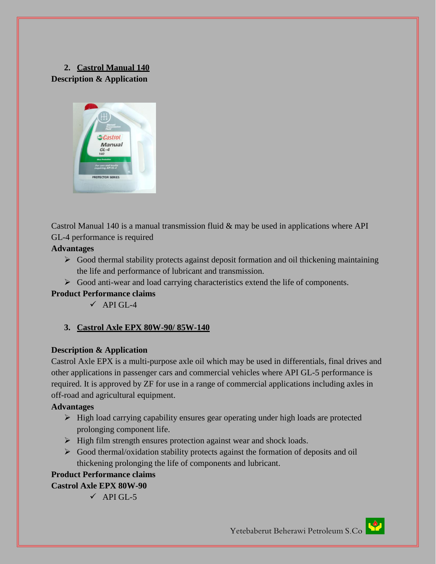# **2. Castrol Manual 140 Description & Application**



Castrol Manual 140 is a manual transmission fluid  $\&$  may be used in applications where API GL-4 performance is required

#### **Advantages**

- $\triangleright$  Good thermal stability protects against deposit formation and oil thickening maintaining the life and performance of lubricant and transmission.
- $\triangleright$  Good anti-wear and load carrying characteristics extend the life of components.

## **Product Performance claims**

 $\checkmark$  API GL-4

## **3. Castrol Axle EPX 80W-90/ 85W-140**

#### **Description & Application**

Castrol Axle EPX is a multi-purpose axle oil which may be used in differentials, final drives and other applications in passenger cars and commercial vehicles where API GL-5 performance is required. It is approved by ZF for use in a range of commercial applications including axles in off-road and agricultural equipment.

#### **Advantages**

- $\triangleright$  High load carrying capability ensures gear operating under high loads are protected prolonging component life.
- $\triangleright$  High film strength ensures protection against wear and shock loads.
- $\triangleright$  Good thermal/oxidation stability protects against the formation of deposits and oil thickening prolonging the life of components and lubricant.

#### **Product Performance claims Castrol Axle EPX 80W-90**

 $\checkmark$  API GL-5

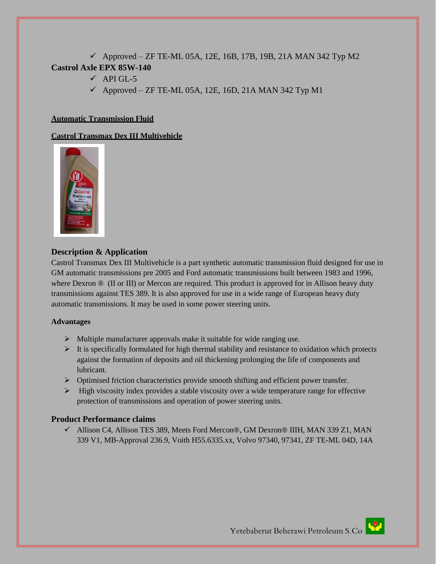$\checkmark$  Approved – ZF TE-ML 05A, 12E, 16B, 17B, 19B, 21A MAN 342 Typ M2 **Castrol Axle EPX 85W-140**

- $\checkmark$  API GL-5
- $\checkmark$  Approved ZF TE-ML 05A, 12E, 16D, 21A MAN 342 Typ M1

#### **Automatic Transmission Fluid**

#### **Castrol Transmax Dex III Multivehicle**



#### **Description & Application**

Castrol Transmax Dex III Multivehicle is a part synthetic automatic transmission fluid designed for use in GM automatic transmissions pre 2005 and Ford automatic transmissions built between 1983 and 1996, where Dexron <sup>®</sup> (II or III) or Mercon are required. This product is approved for in Allison heavy duty transmissions against TES 389. It is also approved for use in a wide range of European heavy duty automatic transmissions. It may be used in some power steering units.

#### **Advantages**

- $\triangleright$  Multiple manufacturer approvals make it suitable for wide ranging use.
- $\triangleright$  It is specifically formulated for high thermal stability and resistance to oxidation which protects against the formation of deposits and oil thickening prolonging the life of components and lubricant.
- $\triangleright$  Optimised friction characteristics provide smooth shifting and efficient power transfer.
- $\triangleright$  High viscosity index provides a stable viscosity over a wide temperature range for effective protection of transmissions and operation of power steering units.

#### **Product Performance claims**

 Allison C4, Allison TES 389, Meets Ford Mercon®, GM Dexron® IIIH, MAN 339 Z1, MAN 339 V1, MB-Approval 236.9, Voith H55.6335.xx, Volvo 97340, 97341, ZF TE-ML 04D, 14A

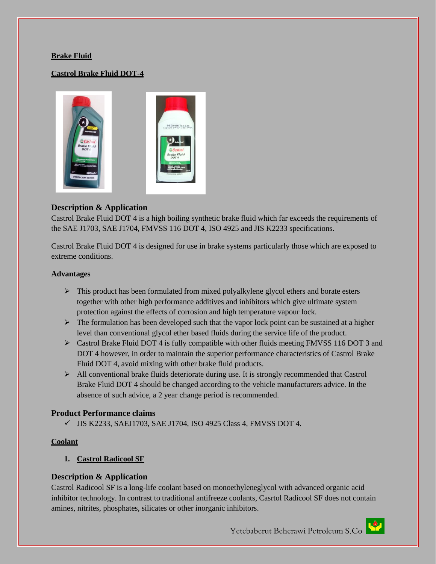#### **Brake Fluid**

#### **Castrol Brake Fluid DOT-4**



#### **Description & Application**

Castrol Brake Fluid DOT 4 is a high boiling synthetic brake fluid which far exceeds the requirements of the SAE J1703, SAE J1704, FMVSS 116 DOT 4, ISO 4925 and JIS K2233 specifications.

Castrol Brake Fluid DOT 4 is designed for use in brake systems particularly those which are exposed to extreme conditions.

#### **Advantages**

- $\triangleright$  This product has been formulated from mixed polyalkylene glycol ethers and borate esters together with other high performance additives and inhibitors which give ultimate system protection against the effects of corrosion and high temperature vapour lock.
- $\triangleright$  The formulation has been developed such that the vapor lock point can be sustained at a higher level than conventional glycol ether based fluids during the service life of the product.
- $\triangleright$  Castrol Brake Fluid DOT 4 is fully compatible with other fluids meeting FMVSS 116 DOT 3 and DOT 4 however, in order to maintain the superior performance characteristics of Castrol Brake Fluid DOT 4, avoid mixing with other brake fluid products.
- $\triangleright$  All conventional brake fluids deteriorate during use. It is strongly recommended that Castrol Brake Fluid DOT 4 should be changed according to the vehicle manufacturers advice. In the absence of such advice, a 2 year change period is recommended.

#### **Product Performance claims**

 $\checkmark$  JIS K2233, SAEJ1703, SAE J1704, ISO 4925 Class 4, FMVSS DOT 4.

#### **Coolant**

**1. Castrol Radicool SF**

#### **Description & Application**

Castrol Radicool SF is a long-life coolant based on monoethyleneglycol with advanced organic acid inhibitor technology. In contrast to traditional antifreeze coolants, Casrtol Radicool SF does not contain amines, nitrites, phosphates, silicates or other inorganic inhibitors.

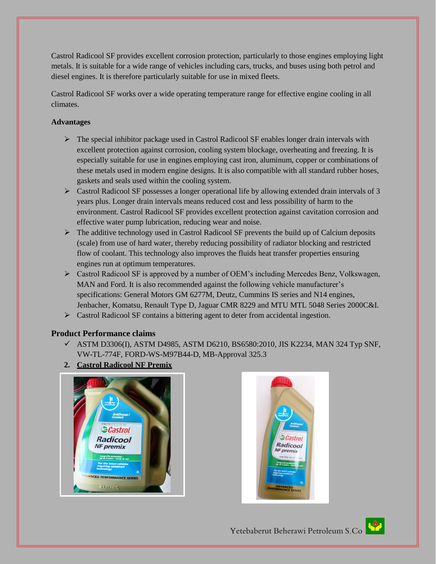Castrol Radicool SF provides excellent corrosion protection, particularly to those engines employing light metals. It is suitable for a wide range of vehicles including cars, trucks, and buses using both petrol and diesel engines. It is therefore particularly suitable for use in mixed fleets.

Castrol Radicool SF works over a wide operating temperature range for effective engine cooling in all climates.

#### **Advantages**

- $\triangleright$  The special inhibitor package used in Castrol Radicool SF enables longer drain intervals with excellent protection against corrosion, cooling system blockage, overheating and freezing. It is especially suitable for use in engines employing cast iron, aluminum, copper or combinations of these metals used in modern engine designs. It is also compatible with all standard rubber hoses, gaskets and seals used within the cooling system.
- $\triangleright$  Castrol Radicool SF possesses a longer operational life by allowing extended drain intervals of 3 years plus. Longer drain intervals means reduced cost and less possibility of harm to the environment. Castrol Radicool SF provides excellent protection against cavitation corrosion and effective water pump lubrication, reducing wear and noise.
- $\triangleright$  The additive technology used in Castrol Radicool SF prevents the build up of Calcium deposits (scale) from use of hard water, thereby reducing possibility of radiator blocking and restricted flow of coolant. This technology also improves the fluids heat transfer properties ensuring engines run at optimum temperatures.
- Castrol Radicool SF is approved by a number of OEM's including Mercedes Benz, Volkswagen, MAN and Ford. It is also recommended against the following vehicle manufacturer's specifications: General Motors GM 6277M, Deutz, Cummins IS series and N14 engines, Jenbacher, Komatsu, Renault Type D, Jaguar CMR 8229 and MTU MTL 5048 Series 2000C&I.
- Castrol Radicool SF contains a bittering agent to deter from accidental ingestion.

## **Product Performance claims**

- $\checkmark$  ASTM D3306(I), ASTM D4985, ASTM D6210, BS6580:2010, JIS K2234, MAN 324 Typ SNF, VW-TL-774F, FORD-WS-M97B44-D, MB-Approval 325.3
- **2. Castrol Radicool NF Premix**





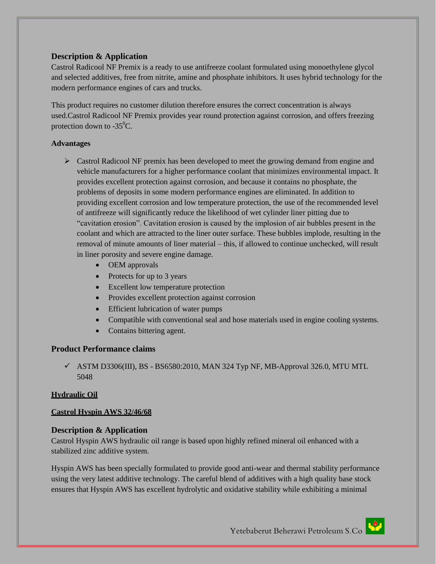#### **Description & Application**

Castrol Radicool NF Premix is a ready to use antifreeze coolant formulated using monoethylene glycol and selected additives, free from nitrite, amine and phosphate inhibitors. It uses hybrid technology for the modern performance engines of cars and trucks.

This product requires no customer dilution therefore ensures the correct concentration is always used.Castrol Radicool NF Premix provides year round protection against corrosion, and offers freezing protection down to  $-35^{\circ}$ C.

#### **Advantages**

- Castrol Radicool NF premix has been developed to meet the growing demand from engine and vehicle manufacturers for a higher performance coolant that minimizes environmental impact. It provides excellent protection against corrosion, and because it contains no phosphate, the problems of deposits in some modern performance engines are eliminated. In addition to providing excellent corrosion and low temperature protection, the use of the recommended level of antifreeze will significantly reduce the likelihood of wet cylinder liner pitting due to "cavitation erosion". Cavitation erosion is caused by the implosion of air bubbles present in the coolant and which are attracted to the liner outer surface. These bubbles implode, resulting in the removal of minute amounts of liner material – this, if allowed to continue unchecked, will result in liner porosity and severe engine damage.
	- OEM approvals
	- Protects for up to 3 years
	- Excellent low temperature protection
	- Provides excellent protection against corrosion
	- Efficient lubrication of water pumps
	- Compatible with conventional seal and hose materials used in engine cooling systems.
	- Contains bittering agent.

## **Product Performance claims**

 $\checkmark$  ASTM D3306(III), BS - BS6580:2010, MAN 324 Typ NF, MB-Approval 326.0, MTU MTL 5048

#### **Hydraulic Oil**

#### **Castrol Hyspin AWS 32/46/68**

## **Description & Application**

Castrol Hyspin AWS hydraulic oil range is based upon highly refined mineral oil enhanced with a stabilized zinc additive system.

Hyspin AWS has been specially formulated to provide good anti-wear and thermal stability performance using the very latest additive technology. The careful blend of additives with a high quality base stock ensures that Hyspin AWS has excellent hydrolytic and oxidative stability while exhibiting a minimal